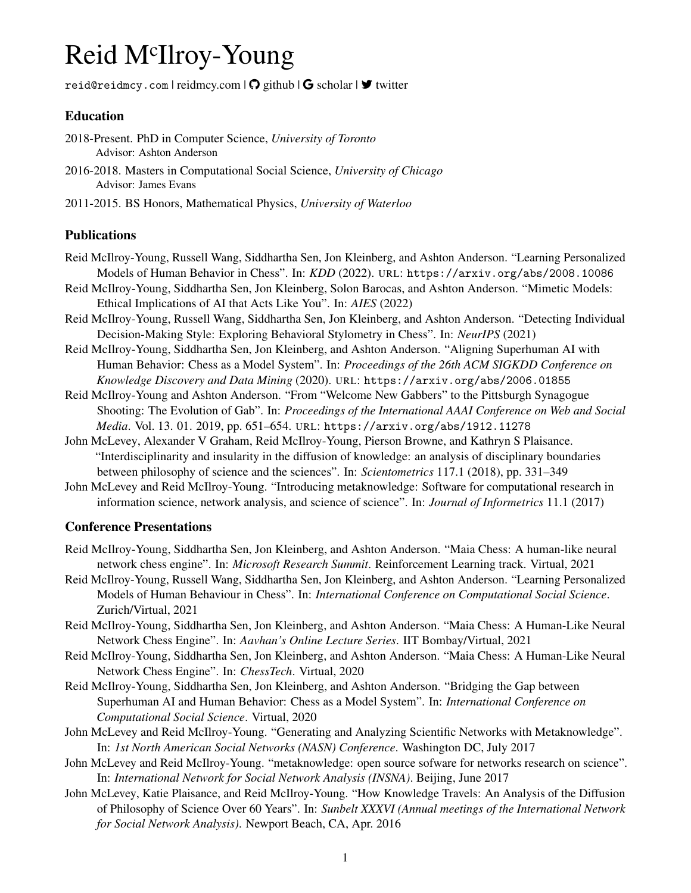# Reid M<sup>c</sup>Ilroy-Young

[reid@reidmcy.com](mailto:reid@reidmcy.com) | [reidmcy.com](http://www.reidmcy.com)  $\vert \mathbf{Q} \vert$  [github](https://github.com/reidmcy)  $\vert \mathbf{G} \vert$  [scholar](https://scholar.google.ca/citations?user=7Tclf3kAAAAJ)  $\vert \mathbf{Y} \vert$  [twitter](https://twitter.com/reidmcy)

#### Education

- 2018-Present. PhD in Computer Science, *University of Toronto* Advisor: Ashton Anderson
- 2016-2018. Masters in Computational Social Science, *University of Chicago* Advisor: James Evans
- 2011-2015. BS Honors, Mathematical Physics, *University of Waterloo*

#### Publications

- Reid McIlroy-Young, Russell Wang, Siddhartha Sen, Jon Kleinberg, and Ashton Anderson. "Learning Personalized Models of Human Behavior in Chess". In: *KDD* (2022). URL: <https://arxiv.org/abs/2008.10086>
- Reid McIlroy-Young, Siddhartha Sen, Jon Kleinberg, Solon Barocas, and Ashton Anderson. "Mimetic Models: Ethical Implications of AI that Acts Like You". In: *AIES* (2022)
- Reid McIlroy-Young, Russell Wang, Siddhartha Sen, Jon Kleinberg, and Ashton Anderson. "Detecting Individual Decision-Making Style: Exploring Behavioral Stylometry in Chess". In: *NeurIPS* (2021)
- Reid McIlroy-Young, Siddhartha Sen, Jon Kleinberg, and Ashton Anderson. "Aligning Superhuman AI with Human Behavior: Chess as a Model System". In: *Proceedings of the 26th ACM SIGKDD Conference on Knowledge Discovery and Data Mining* (2020). URL: <https://arxiv.org/abs/2006.01855>
- Reid McIlroy-Young and Ashton Anderson. "From "Welcome New Gabbers" to the Pittsburgh Synagogue Shooting: The Evolution of Gab". In: *Proceedings of the International AAAI Conference on Web and Social Media*. Vol. 13. 01. 2019, pp. 651–654. URL: <https://arxiv.org/abs/1912.11278>
- John McLevey, Alexander V Graham, Reid McIlroy-Young, Pierson Browne, and Kathryn S Plaisance. "Interdisciplinarity and insularity in the diffusion of knowledge: an analysis of disciplinary boundaries between philosophy of science and the sciences". In: *Scientometrics* 117.1 (2018), pp. 331–349
- John McLevey and Reid McIlroy-Young. "Introducing metaknowledge: Software for computational research in information science, network analysis, and science of science". In: *Journal of Informetrics* 11.1 (2017)

#### Conference Presentations

- Reid McIlroy-Young, Siddhartha Sen, Jon Kleinberg, and Ashton Anderson. "Maia Chess: A human-like neural network chess engine". In: *Microsoft Research Summit*. Reinforcement Learning track. Virtual, 2021
- Reid McIlroy-Young, Russell Wang, Siddhartha Sen, Jon Kleinberg, and Ashton Anderson. "Learning Personalized Models of Human Behaviour in Chess". In: *International Conference on Computational Social Science*. Zurich/Virtual, 2021
- Reid McIlroy-Young, Siddhartha Sen, Jon Kleinberg, and Ashton Anderson. "Maia Chess: A Human-Like Neural Network Chess Engine". In: *Aavhan's Online Lecture Series*. IIT Bombay/Virtual, 2021
- Reid McIlroy-Young, Siddhartha Sen, Jon Kleinberg, and Ashton Anderson. "Maia Chess: A Human-Like Neural Network Chess Engine". In: *ChessTech*. Virtual, 2020
- Reid McIlroy-Young, Siddhartha Sen, Jon Kleinberg, and Ashton Anderson. "Bridging the Gap between Superhuman AI and Human Behavior: Chess as a Model System". In: *International Conference on Computational Social Science*. Virtual, 2020
- John McLevey and Reid McIlroy-Young. "Generating and Analyzing Scientific Networks with Metaknowledge". In: *1st North American Social Networks (NASN) Conference*. Washington DC, July 2017
- John McLevey and Reid McIlroy-Young. "metaknowledge: open source sofware for networks research on science". In: *International Network for Social Network Analysis (INSNA)*. Beijing, June 2017
- John McLevey, Katie Plaisance, and Reid McIlroy-Young. "How Knowledge Travels: An Analysis of the Diffusion of Philosophy of Science Over 60 Years". In: *Sunbelt XXXVI (Annual meetings of the International Network for Social Network Analysis)*. Newport Beach, CA, Apr. 2016